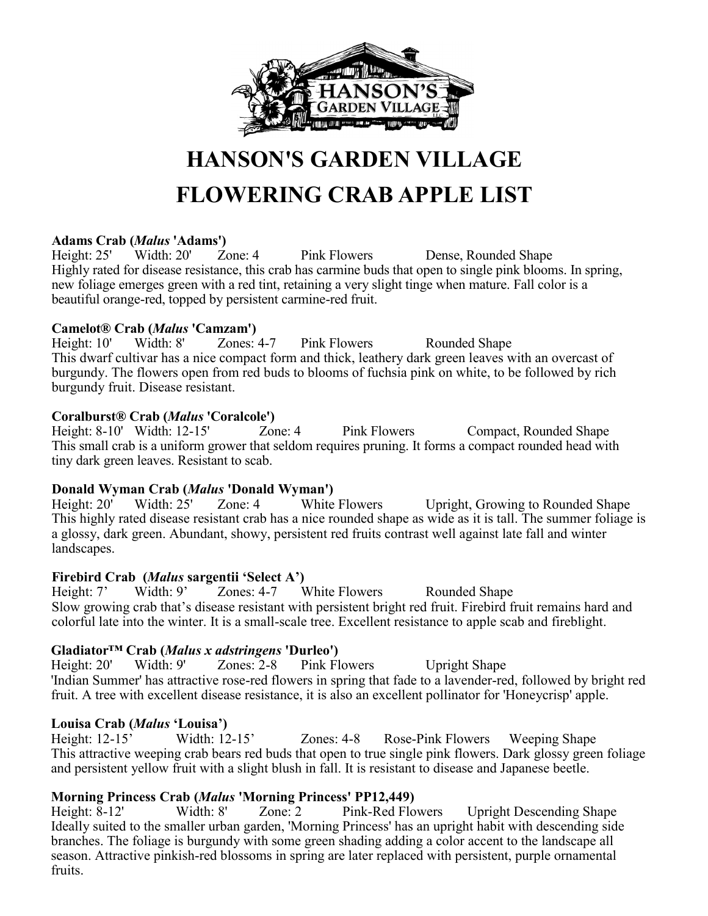

# **HANSON'S GARDEN VILLAGE FLOWERING CRAB APPLE LIST**

**Adams Crab (***Malus* **'Adams')** Height: 25' Width: 20' Zone: 4 Pink Flowers Dense, Rounded Shape Highly rated for disease resistance, this crab has carmine buds that open to single pink blooms. In spring, new foliage emerges green with a red tint, retaining a very slight tinge when mature. Fall color is a beautiful orange-red, topped by persistent carmine-red fruit.

#### **Camelot® Crab (***Malus* **'Camzam')**

Height: 10' Width: 8' Zones: 4-7 Pink Flowers Rounded Shape This dwarf cultivar has a nice compact form and thick, leathery dark green leaves with an overcast of burgundy. The flowers open from red buds to blooms of fuchsia pink on white, to be followed by rich burgundy fruit. Disease resistant.

#### **Coralburst® Crab (***Malus* **'Coralcole')**

Height: 8-10' Width: 12-15' Zone: 4 Pink Flowers Compact, Rounded Shape This small crab is a uniform grower that seldom requires pruning. It forms a compact rounded head with tiny dark green leaves. Resistant to scab.

## **Donald Wyman Crab (***Malus* **'Donald Wyman')**<br>Height: 20' Width: 25' Zone: 4 White

Height: 20' Width: 25' Zone: 4 White Flowers Upright, Growing to Rounded Shape This highly rated disease resistant crab has a nice rounded shape as wide as it is tall. The summer foliage is a glossy, dark green. Abundant, showy, persistent red fruits contrast well against late fall and winter landscapes.

#### **Firebird Crab (***Malus* **sargentii 'Select A')**

Height: 7' Width: 9' Zones: 4-7 White Flowers Rounded Shape Slow growing crab that's disease resistant with persistent bright red fruit. Firebird fruit remains hard and colorful late into the winter. It is a small-scale tree. Excellent resistance to apple scab and fireblight.

### **Gladiator™ Crab (***Malus x adstringens* **'Durleo')**

Height: 20' Width: 9' Zones: 2-8 Pink Flowers Upright Shape 'Indian Summer' has attractive rose-red flowers in spring that fade to a lavender-red, followed by bright red fruit. A tree with excellent disease resistance, it is also an excellent pollinator for 'Honeycrisp' apple.

#### **Louisa Crab (***Malus* **'Louisa')**

Height: 12-15' Width: 12-15' Zones: 4-8 Rose-Pink Flowers Weeping Shape This attractive weeping crab bears red buds that open to true single pink flowers. Dark glossy green foliage and persistent yellow fruit with a slight blush in fall. It is resistant to disease and Japanese beetle.

## **Morning Princess Crab (***Malus* **'Morning Princess' PP12,449)**<br>Height: 8-12' Width: 8' Zone: 2 Pink-Red Flowers

Height: 8-12' Width: 8' Zone: 2 Pink-Red Flowers Upright Descending Shape Ideally suited to the smaller urban garden, 'Morning Princess' has an upright habit with descending side branches. The foliage is burgundy with some green shading adding a color accent to the landscape all season. Attractive pinkish-red blossoms in spring are later replaced with persistent, purple ornamental fruits.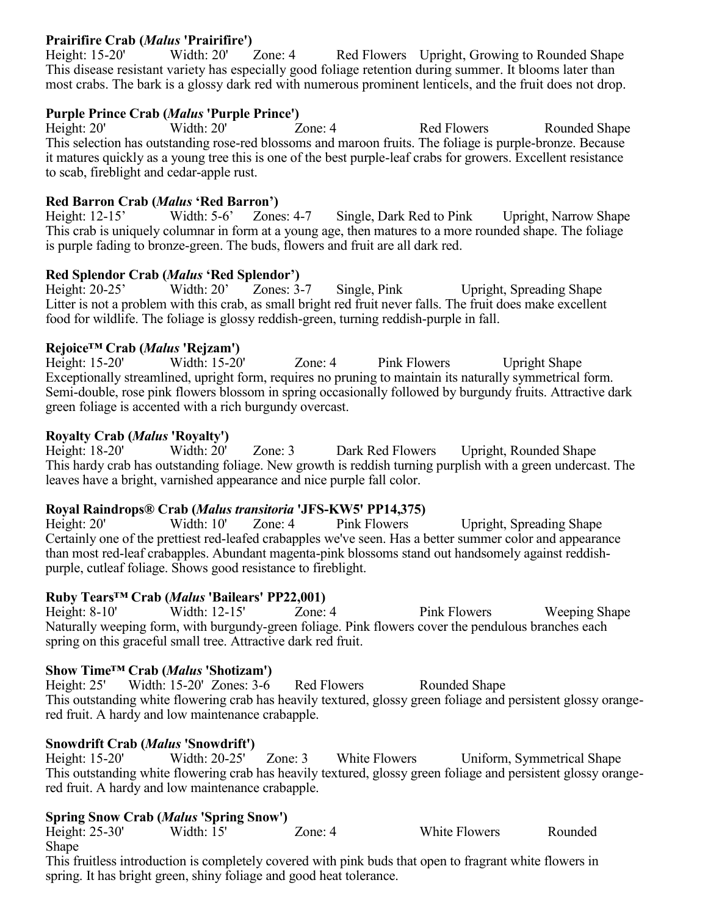### **Prairifire Crab (***Malus* **'Prairifire')**<br>Height: 15-20' Width: 20' Zone: 4

Height: 15-20' Width: 20' Zone: 4 Red Flowers Upright, Growing to Rounded Shape This disease resistant variety has especially good foliage retention during summer. It blooms later than most crabs. The bark is a glossy dark red with numerous prominent lenticels, and the fruit does not drop.

#### **Purple Prince Crab (***Malus* **'Purple Prince')**

Height: 20' Width: 20' Zone: 4 Red Flowers Rounded Shape This selection has outstanding rose-red blossoms and maroon fruits. The foliage is purple-bronze. Because it matures quickly as a young tree this is one of the best purple-leaf crabs for growers. Excellent resistance to scab, fireblight and cedar-apple rust.

#### **Red Barron Crab (***Malus* **'Red Barron')**

Height: 12-15' Width: 5-6' Zones: 4-7 Single, Dark Red to Pink Upright, Narrow Shape This crab is uniquely columnar in form at a young age, then matures to a more rounded shape. The foliage is purple fading to bronze-green. The buds, flowers and fruit are all dark red.

#### **Red Splendor Crab (***Malus* **'Red Splendor')**

Height: 20-25' Width: 20' Zones: 3-7 Single, Pink Upright, Spreading Shape Litter is not a problem with this crab, as small bright red fruit never falls. The fruit does make excellent food for wildlife. The foliage is glossy reddish-green, turning reddish-purple in fall.

#### **Rejoice™ Crab (***Malus* **'Rejzam')**

Height: 15-20' Width: 15-20' Zone: 4 Pink Flowers Upright Shape Exceptionally streamlined, upright form, requires no pruning to maintain its naturally symmetrical form. Semi-double, rose pink flowers blossom in spring occasionally followed by burgundy fruits. Attractive dark green foliage is accented with a rich burgundy overcast.

#### **Royalty Crab (***Malus* **'Royalty')**

Height: 18-20' Width: 20' Zone: 3 Dark Red Flowers Upright, Rounded Shape This hardy crab has outstanding foliage. New growth is reddish turning purplish with a green undercast. The leaves have a bright, varnished appearance and nice purple fall color.

#### **Royal Raindrops® Crab (***Malus transitoria* **'JFS-KW5' PP14,375)**

Height: 20' Width: 10' Zone: 4 Pink Flowers Upright, Spreading Shape Certainly one of the prettiest red-leafed crabapples we've seen. Has a better summer color and appearance than most red-leaf crabapples. Abundant magenta-pink blossoms stand out handsomely against reddishpurple, cutleaf foliage. Shows good resistance to fireblight.

#### **Ruby Tears™ Crab (***Malus* **'Bailears' PP22,001)**

Height: 8-10' Width: 12-15' Zone: 4 Pink Flowers Weeping Shape Naturally weeping form, with burgundy-green foliage. Pink flowers cover the pendulous branches each spring on this graceful small tree. Attractive dark red fruit.

#### **Show Time™ Crab (***Malus* **'Shotizam')**

Height: 25' Width: 15-20' Zones: 3-6 Red Flowers Rounded Shape This outstanding white flowering crab has heavily textured, glossy green foliage and persistent glossy orangered fruit. A hardy and low maintenance crabapple.

#### **Snowdrift Crab (***Malus* **'Snowdrift')**

Height: 15-20' Width: 20-25' Zone: 3 White Flowers Uniform, Symmetrical Shape This outstanding white flowering crab has heavily textured, glossy green foliage and persistent glossy orangered fruit. A hardy and low maintenance crabapple.

#### **Spring Snow Crab (***Malus* **'Spring Snow')**

Height: 25-30' Width: 15' Zone: 4 White Flowers Rounded Shape

This fruitless introduction is completely covered with pink buds that open to fragrant white flowers in spring. It has bright green, shiny foliage and good heat tolerance.